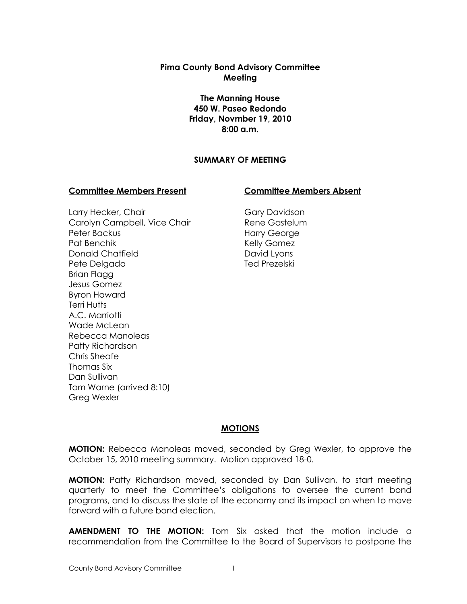**Pima County Bond Advisory Committee Meeting**

> **The Manning House 450 W. Paseo Redondo Friday, Novmber 19, 2010 8:00 a.m.**

#### **SUMMARY OF MEETING**

#### **Committee Members Present Committee Members Absent**

Larry Hecker, Chair Carolyn Campbell, Vice Chair Peter Backus Pat Benchik Donald Chatfield Pete Delgado Brian Flagg Jesus Gomez Byron Howard Terri Hutts A.C. Marriotti Wade McLean Rebecca Manoleas Patty Richardson Chris Sheafe Thomas Six Dan Sullivan Tom Warne (arrived 8:10) Greg Wexler

Gary Davidson Rene Gastelum Harry George Kelly Gomez David Lyons Ted Prezelski

#### **MOTIONS**

**MOTION:** Rebecca Manoleas moved, seconded by Greg Wexler, to approve the October 15, 2010 meeting summary. Motion approved 18-0.

**MOTION:** Patty Richardson moved, seconded by Dan Sullivan, to start meeting quarterly to meet the Committee's obligations to oversee the current bond programs, and to discuss the state of the economy and its impact on when to move forward with a future bond election.

**AMENDMENT TO THE MOTION:** Tom Six asked that the motion include a recommendation from the Committee to the Board of Supervisors to postpone the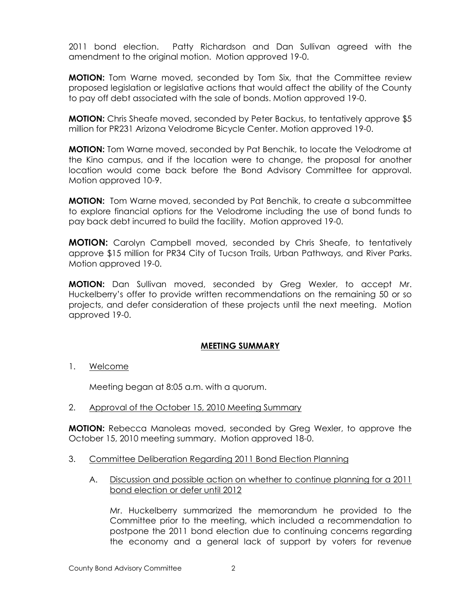2011 bond election. Patty Richardson and Dan Sullivan agreed with the amendment to the original motion. Motion approved 19-0.

**MOTION:** Tom Warne moved, seconded by Tom Six, that the Committee review proposed legislation or legislative actions that would affect the ability of the County to pay off debt associated with the sale of bonds. Motion approved 19-0.

**MOTION:** Chris Sheafe moved, seconded by Peter Backus, to tentatively approve \$5 million for PR231 Arizona Velodrome Bicycle Center. Motion approved 19-0.

**MOTION:** Tom Warne moved, seconded by Pat Benchik, to locate the Velodrome at the Kino campus, and if the location were to change, the proposal for another location would come back before the Bond Advisory Committee for approval. Motion approved 10-9.

**MOTION:** Tom Warne moved, seconded by Pat Benchik, to create a subcommittee to explore financial options for the Velodrome including the use of bond funds to pay back debt incurred to build the facility. Motion approved 19-0.

**MOTION:** Carolyn Campbell moved, seconded by Chris Sheafe, to tentatively approve \$15 million for PR34 City of Tucson Trails, Urban Pathways, and River Parks. Motion approved 19-0.

**MOTION:** Dan Sullivan moved, seconded by Greg Wexler, to accept Mr. Huckelberry's offer to provide written recommendations on the remaining 50 or so projects, and defer consideration of these projects until the next meeting. Motion approved 19-0.

# **MEETING SUMMARY**

1. Welcome

Meeting began at 8:05 a.m. with a quorum.

2. Approval of the October 15, 2010 Meeting Summary

**MOTION:** Rebecca Manoleas moved, seconded by Greg Wexler, to approve the October 15, 2010 meeting summary. Motion approved 18-0.

- 3. Committee Deliberation Regarding 2011 Bond Election Planning
	- A. Discussion and possible action on whether to continue planning for a 2011 bond election or defer until 2012

Mr. Huckelberry summarized the memorandum he provided to the Committee prior to the meeting, which included a recommendation to postpone the 2011 bond election due to continuing concerns regarding the economy and a general lack of support by voters for revenue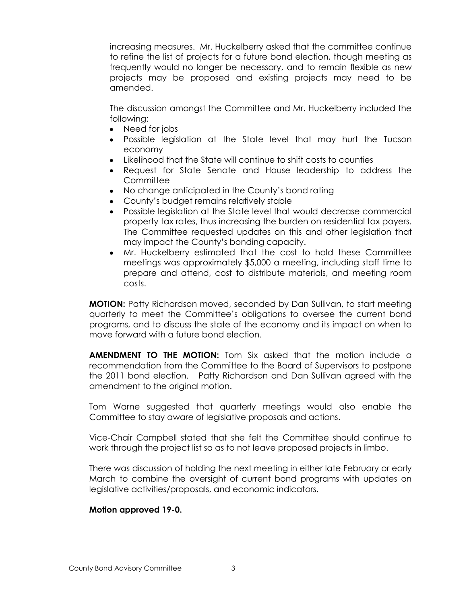increasing measures. Mr. Huckelberry asked that the committee continue to refine the list of projects for a future bond election, though meeting as frequently would no longer be necessary, and to remain flexible as new projects may be proposed and existing projects may need to be amended.

The discussion amongst the Committee and Mr. Huckelberry included the following:

- Need for jobs
- $\bullet$ Possible legislation at the State level that may hurt the Tucson economy
- Likelihood that the State will continue to shift costs to counties
- Request for State Senate and House leadership to address the **Committee**
- No change anticipated in the County's bond rating
- County's budget remains relatively stable
- Possible legislation at the State level that would decrease commercial  $\bullet$ property tax rates, thus increasing the burden on residential tax payers. The Committee requested updates on this and other legislation that may impact the County's bonding capacity.
- Mr. Huckelberry estimated that the cost to hold these Committee meetings was approximately \$5,000 a meeting, including staff time to prepare and attend, cost to distribute materials, and meeting room costs.

**MOTION:** Patty Richardson moved, seconded by Dan Sullivan, to start meeting quarterly to meet the Committee's obligations to oversee the current bond programs, and to discuss the state of the economy and its impact on when to move forward with a future bond election.

**AMENDMENT TO THE MOTION:** Tom Six asked that the motion include a recommendation from the Committee to the Board of Supervisors to postpone the 2011 bond election. Patty Richardson and Dan Sullivan agreed with the amendment to the original motion.

Tom Warne suggested that quarterly meetings would also enable the Committee to stay aware of legislative proposals and actions.

Vice-Chair Campbell stated that she felt the Committee should continue to work through the project list so as to not leave proposed projects in limbo.

There was discussion of holding the next meeting in either late February or early March to combine the oversight of current bond programs with updates on legislative activities/proposals, and economic indicators.

#### **Motion approved 19-0.**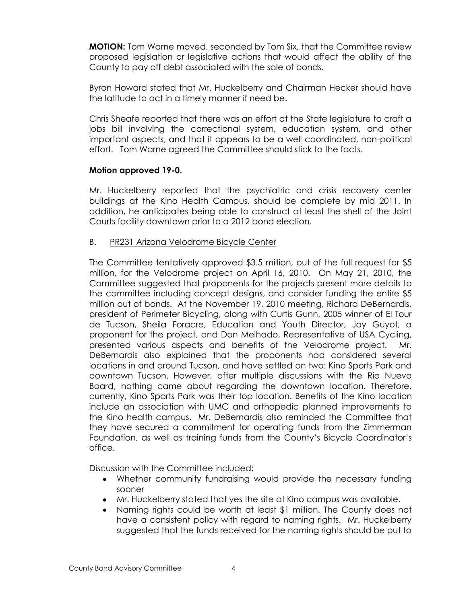**MOTION:** Tom Warne moved, seconded by Tom Six, that the Committee review proposed legislation or legislative actions that would affect the ability of the County to pay off debt associated with the sale of bonds.

Byron Howard stated that Mr. Huckelberry and Chairman Hecker should have the latitude to act in a timely manner if need be.

Chris Sheafe reported that there was an effort at the State legislature to craft a jobs bill involving the correctional system, education system, and other important aspects, and that it appears to be a well coordinated, non-political effort. Tom Warne agreed the Committee should stick to the facts.

### **Motion approved 19-0.**

Mr. Huckelberry reported that the psychiatric and crisis recovery center buildings at the Kino Health Campus, should be complete by mid 2011. In addition, he anticipates being able to construct at least the shell of the Joint Courts facility downtown prior to a 2012 bond election.

### B. PR231 Arizona Velodrome Bicycle Center

The Committee tentatively approved \$3.5 million, out of the full request for \$5 million, for the Velodrome project on April 16, 2010. On May 21, 2010, the Committee suggested that proponents for the projects present more details to the committee including concept designs, and consider funding the entire \$5 million out of bonds. At the November 19, 2010 meeting, Richard DeBernardis, president of Perimeter Bicycling, along with Curtis Gunn, 2005 winner of El Tour de Tucson, Sheila Foracre, Education and Youth Director, Jay Guyot, a proponent for the project, and Don Melhado, Representative of USA Cycling, presented various aspects and benefits of the Velodrome project. Mr. DeBernardis also explained that the proponents had considered several locations in and around Tucson, and have settled on two: Kino Sports Park and downtown Tucson. However, after multiple discussions with the Rio Nuevo Board, nothing came about regarding the downtown location. Therefore, currently, Kino Sports Park was their top location. Benefits of the Kino location include an association with UMC and orthopedic planned improvements to the Kino health campus. Mr. DeBernardis also reminded the Committee that they have secured a commitment for operating funds from the Zimmerman Foundation, as well as training funds from the County's Bicycle Coordinator's office.

Discussion with the Committee included:

- Whether community fundraising would provide the necessary funding sooner
- Mr. Huckelberry stated that yes the site at Kino campus was available.
- Naming rights could be worth at least \$1 million. The County does not have a consistent policy with regard to naming rights. Mr. Huckelberry suggested that the funds received for the naming rights should be put to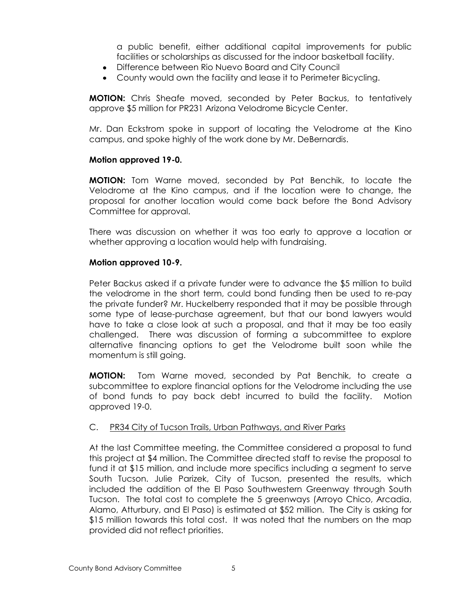a public benefit, either additional capital improvements for public facilities or scholarships as discussed for the indoor basketball facility.

- Difference between Rio Nuevo Board and City Council
- County would own the facility and lease it to Perimeter Bicycling.

**MOTION:** Chris Sheafe moved, seconded by Peter Backus, to tentatively approve \$5 million for PR231 Arizona Velodrome Bicycle Center.

Mr. Dan Eckstrom spoke in support of locating the Velodrome at the Kino campus, and spoke highly of the work done by Mr. DeBernardis.

### **Motion approved 19-0.**

**MOTION:** Tom Warne moved, seconded by Pat Benchik, to locate the Velodrome at the Kino campus, and if the location were to change, the proposal for another location would come back before the Bond Advisory Committee for approval.

There was discussion on whether it was too early to approve a location or whether approving a location would help with fundraising.

### **Motion approved 10-9.**

Peter Backus asked if a private funder were to advance the \$5 million to build the velodrome in the short term, could bond funding then be used to re-pay the private funder? Mr. Huckelberry responded that it may be possible through some type of lease-purchase agreement, but that our bond lawyers would have to take a close look at such a proposal, and that it may be too easily challenged. There was discussion of forming a subcommittee to explore alternative financing options to get the Velodrome built soon while the momentum is still going.

**MOTION:** Tom Warne moved, seconded by Pat Benchik, to create a subcommittee to explore financial options for the Velodrome including the use of bond funds to pay back debt incurred to build the facility. Motion approved 19-0.

# C. PR34 City of Tucson Trails, Urban Pathways, and River Parks

At the last Committee meeting, the Committee considered a proposal to fund this project at \$4 million. The Committee directed staff to revise the proposal to fund it at \$15 million, and include more specifics including a segment to serve South Tucson. Julie Parizek, City of Tucson, presented the results, which included the addition of the El Paso Southwestern Greenway through South Tucson. The total cost to complete the 5 greenways (Arroyo Chico, Arcadia, Alamo, Atturbury, and El Paso) is estimated at \$52 million. The City is asking for \$15 million towards this total cost. It was noted that the numbers on the map provided did not reflect priorities.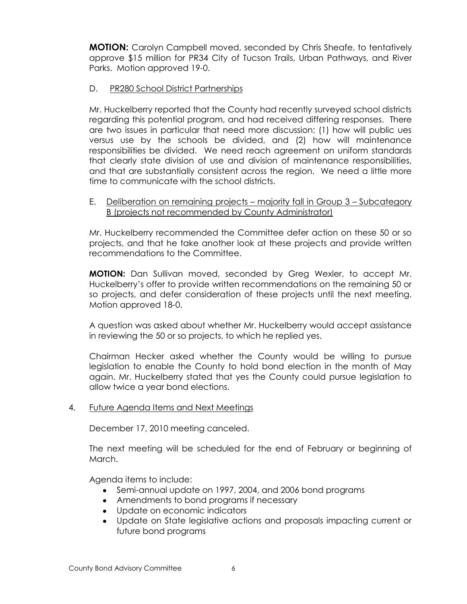**MOTION:** Carolyn Campbell moved, seconded by Chris Sheafe, to tentatively approve \$15 million for PR34 City of Tucson Trails, Urban Pathways, and River Parks. Motion approved 19-0.

# D. PR280 School District Partnerships

Mr. Huckelberry reported that the County had recently surveyed school districts regarding this potential program, and had received differing responses. There are two issues in particular that need more discussion: (1) how will public ues versus use by the schools be divided, and (2) how will maintenance responsibilities be divided. We need reach agreement on uniform standards that clearly state division of use and division of maintenance responsibilities, and that are substantially consistent across the region. We need a little more time to communicate with the school districts.

## E. Deliberation on remaining projects – majority fall in Group 3 – Subcategory B (projects not recommended by County Administrator)

Mr. Huckelberry recommended the Committee defer action on these 50 or so projects, and that he take another look at these projects and provide written recommendations to the Committee.

**MOTION:** Dan Sullivan moved, seconded by Greg Wexler, to accept Mr. Huckelberry's offer to provide written recommendations on the remaining 50 or so projects, and defer consideration of these projects until the next meeting. Motion approved 18-0.

A question was asked about whether Mr. Huckelberry would accept assistance in reviewing the 50 or so projects, to which he replied yes.

Chairman Hecker asked whether the County would be willing to pursue legislation to enable the County to hold bond election in the month of May again. Mr. Huckelberry stated that yes the County could pursue legislation to allow twice a year bond elections.

# 4. Future Agenda Items and Next Meetings

December 17, 2010 meeting canceled.

The next meeting will be scheduled for the end of February or beginning of March.

Agenda items to include:

- Semi-annual update on 1997, 2004, and 2006 bond programs
- Amendments to bond programs if necessary
- Update on economic indicators
- Update on State legislative actions and proposals impacting current or future bond programs